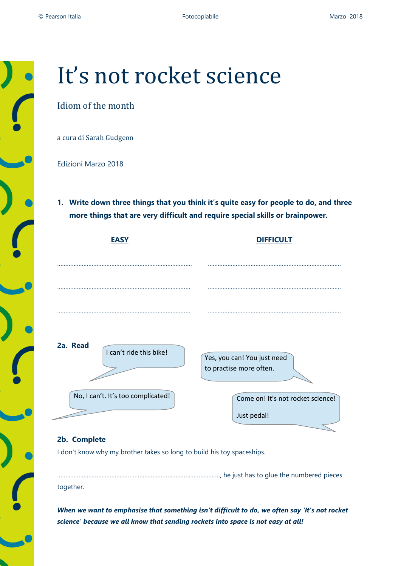

# It's not rocket science

## Idiom of the month

a cura di Sarah Gudgeon

Edizioni Marzo 2018

**1. Write down three things that you think it's quite easy for people to do, and three more things that are very difficult and require special skills or brainpower.**

| <b>EASY</b>                         | <b>DIFFICULT</b>                                       |
|-------------------------------------|--------------------------------------------------------|
|                                     |                                                        |
|                                     |                                                        |
|                                     |                                                        |
| 2a. Read<br>I can't ride this bike! | Yes, you can! You just need<br>to practise more often. |
| No, I can't. It's too complicated!  | Come on! It's not rocket science!<br>Just pedal!       |

### **2b. Complete**

I don't know why my brother takes so long to build his toy spaceships.

………………………………………………………………………………………, he just has to glue the numbered pieces together.

*When we want to emphasise that something isn't difficult to do, we often say 'It's not rocket science' because we all know that sending rockets into space is not easy at all!*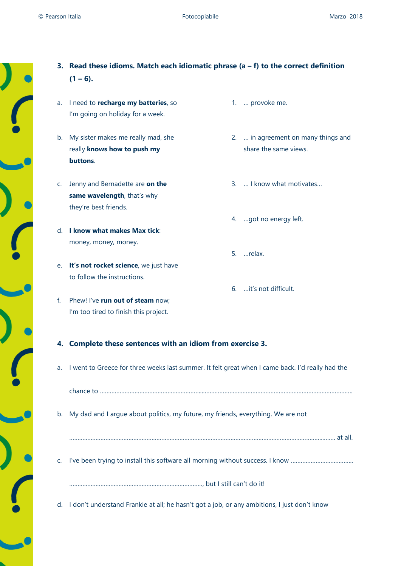÷,

 $\frac{1}{\sqrt{2}}$ 

 $\frac{1}{2}$ 

 $\frac{1}{2}$ 

J

|             | 3. Read these idioms. Match each idiomatic phrase $(a - f)$ to the correct definition   |                                                                                                  |  |
|-------------|-----------------------------------------------------------------------------------------|--------------------------------------------------------------------------------------------------|--|
|             | $(1 - 6)$ .                                                                             |                                                                                                  |  |
| a.          | I need to recharge my batteries, so<br>I'm going on holiday for a week.                 | 1.  provoke me.                                                                                  |  |
| b.          | My sister makes me really mad, she<br>really knows how to push my<br>buttons.           | 2.  in agreement on many things and<br>share the same views.                                     |  |
| $C_{\star}$ | Jenny and Bernadette are on the<br>same wavelength, that's why<br>they're best friends. | 3.  I know what motivates                                                                        |  |
| d.          | I know what makes Max tick:<br>money, money, money.                                     | 4. got no energy left.                                                                           |  |
| e.          | It's not rocket science, we just have<br>to follow the instructions.                    | 5. relax.                                                                                        |  |
| f.          | Phew! I've run out of steam now;<br>I'm too tired to finish this project.               | 6.  it's not difficult.                                                                          |  |
|             | 4. Complete these sentences with an idiom from exercise 3.                              |                                                                                                  |  |
| a.          |                                                                                         | I went to Greece for three weeks last summer. It felt great when I came back. I'd really had the |  |
|             |                                                                                         |                                                                                                  |  |
|             |                                                                                         |                                                                                                  |  |
| b.          | My dad and I argue about politics, my future, my friends, everything. We are not        |                                                                                                  |  |
| C.          |                                                                                         |                                                                                                  |  |
|             |                                                                                         | I've been trying to install this software all morning without success. I know                    |  |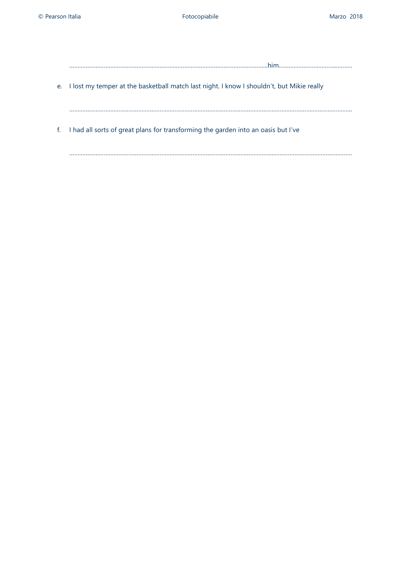………………………………………………….……………………………………………………...him……………………………..……….

e. I lost my temper at the basketball match last night. I know I shouldn't, but Mikie really

……………………………………………………………………………………………………………………………………………………….

…………………………………………………………………………………………………………….…………………………………………

f. I had all sorts of great plans for transforming the garden into an oasis but I've